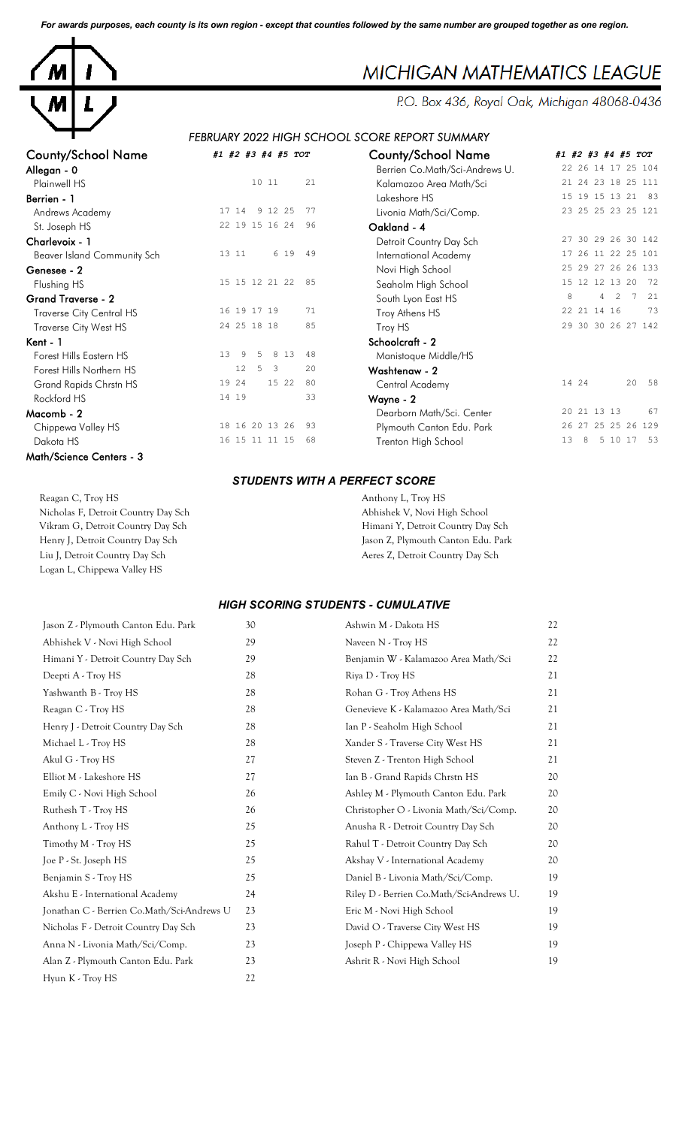*For awards purposes, each county is its own region - except that counties followed by the same number are grouped together as one region.*



## County/School Name *#1 #2 #3 #4 #5 TOT* County/School Name *#1 #2 #3 #4 #5 TOT* Andrews Academy 17 14 9 12 25 77 St. Joseph HS 22 19 15 16 24 96 Beaver Island Community Sch 13 11 6 19 49 Flushing HS 15 15 15 12 21 22 85 Grand Traverse - 2<br>  $T_{\text{source of the Constant MC}}$   $\frac{16}{19}$  19 17 19  $\frac{71}{19}$ Traverse City Central HS 16 19 17 19 Traverse City West HS 24 25 18 18 85 Kent - 1 Schoolcraft - 2 Forest Hills Eastern HS 13 9 5 8 13 48<br>Forest Hills Northern HS 12 5 3 20 Forest Hills Northern HS Grand Rapids Chrstn HS 19 24 15 22 80  $Rockford HS$   $14 19$   $33$ Chippewa Valley HS 18 16 20 13 26 93 Dakota HS 16 15 11 11 15 68 Math/Science Centers - 3

| <b>County/School Name</b>       | #1 #2 #3 #4 #5 TOT                        | <b>County/School Name</b>      | #1 #2 #3 #4 #5 TOT       |
|---------------------------------|-------------------------------------------|--------------------------------|--------------------------|
| Allegan - 0                     |                                           | Berrien Co.Math/Sci-Andrews U. | 22 26 14 17 25 104       |
| Plainwell HS                    | 21<br>10 11                               | Kalamazoo Area Math/Sci        | 21 24 23 18 25 111       |
| Berrien - 1                     |                                           | Lakeshore HS                   | 15 19 15 13 21<br>83     |
| Andrews Academy                 | 9 12 25<br>17 14<br>-77                   | Livonia Math/Sci/Comp.         | 23 25 25 23 25 121       |
| St. Joseph HS                   | 22 19 15 16 24<br>96                      | Oakland - 4                    |                          |
| Charlevoix - 1                  |                                           | Detroit Country Day Sch        | 27 30 29 26 30 142       |
| Beaver Island Community Sch     | 6 19<br>13 11<br>49                       | International Academy          | 26 11 22 25 101          |
| Genesee - 2                     |                                           | Novi High School               | 25 29 27 26 26 133       |
| Flushing HS                     | 15 15 12 21 22<br>85                      | Seaholm High School            | 15 12 12 13 20<br>72     |
| <b>Grand Traverse - 2</b>       |                                           | South Lyon East HS             | 8<br>4<br>7<br>21<br>2   |
| <b>Traverse City Central HS</b> | 16 19 17 19<br>71                         | Troy Athens HS                 | 73<br>22 21 14 16        |
| Traverse City West HS           | 24 25 18 18<br>85                         | Troy HS                        | 29 30 30 26 27 142       |
| Kent - 1                        |                                           | Schoolcraft - 2                |                          |
| Forest Hills Eastern HS         | 13<br>9<br>8 1 3<br>5.<br>48              | Manistoque Middle/HS           |                          |
| Forest Hills Northern HS        | 12<br>5<br>$\overline{\mathbf{3}}$<br>2.0 | Washtenaw - 2                  |                          |
| Grand Rapids Chrstn HS          | 19 24<br>15 22<br>80                      | Central Academy                | 14 24<br>20<br>58        |
| Rockford HS                     | 33<br>14 19                               | Wayne - 2                      |                          |
| Macomb - 2                      |                                           | Dearborn Math/Sci. Center      | 20 21 13 13<br>67        |
| Chippewa Valley HS              | 18 16 20 13 26<br>93                      | Plymouth Canton Edu. Park      | 26 27 25 25 26 129       |
| Dakota HS                       | 16 15 11 11 15<br>68                      | Trenton High School            | 13<br>5 10 17<br>53<br>8 |
|                                 |                                           |                                |                          |

#### *STUDENTS WITH A PERFECT SCORE*

Reagan C, Troy HS Anthony L, Troy HS Nicholas F, Detroit Country Day Sch Abhishek V, Novi High School Vikram G, Detroit Country Day Sch Himani Y, Detroit Country Day Sch Henry J, Detroit Country Day Sch Jason Z, Plymouth Canton Edu. Park Liu J, Detroit Country Day Sch Aeres Z, Detroit Country Day Sch Logan L, Chippewa Valley HS

#### *HIGH SCORING STUDENTS - CUMULATIVE*

| Jason Z - Plymouth Canton Edu. Park        | 30 | Ashwin M - Dakota HS                     | 22 |
|--------------------------------------------|----|------------------------------------------|----|
| Abhishek V - Novi High School              | 29 | Naveen N - Troy HS                       | 22 |
| Himani Y - Detroit Country Day Sch         | 29 | Benjamin W - Kalamazoo Area Math/Sci     | 22 |
| Deepti A - Troy HS                         | 28 | Riya D - Troy HS                         | 21 |
| Yashwanth B - Troy HS                      | 28 | Rohan G - Troy Athens HS                 | 21 |
| Reagan C - Troy HS                         | 28 | Genevieve K - Kalamazoo Area Math/Sci    | 21 |
| Henry J - Detroit Country Day Sch          | 28 | Ian P - Seaholm High School              | 21 |
| Michael L - Troy HS                        | 28 | Xander S - Traverse City West HS         | 21 |
| Akul G - Troy HS                           | 27 | Steven Z - Trenton High School           | 21 |
| Elliot M - Lakeshore HS                    | 27 | Ian B - Grand Rapids Chrstn HS           | 20 |
| Emily C - Novi High School                 | 26 | Ashley M - Plymouth Canton Edu. Park     | 20 |
| Ruthesh T - Troy HS                        | 26 | Christopher O - Livonia Math/Sci/Comp.   | 20 |
| Anthony L - Troy HS                        | 25 | Anusha R - Detroit Country Day Sch       | 20 |
| Timothy M - Troy HS                        | 25 | Rahul T - Detroit Country Day Sch        | 20 |
| Joe P - St. Joseph HS                      | 25 | Akshay V - International Academy         | 20 |
| Benjamin S - Troy HS                       | 25 | Daniel B - Livonia Math/Sci/Comp.        | 19 |
| Akshu E - International Academy            | 24 | Riley D - Berrien Co.Math/Sci-Andrews U. | 19 |
| Jonathan C - Berrien Co.Math/Sci-Andrews U | 23 | Eric M - Novi High School                | 19 |
| Nicholas F - Detroit Country Day Sch       | 23 | David O - Traverse City West HS          | 19 |
| Anna N - Livonia Math/Sci/Comp.            | 23 | Joseph P - Chippewa Valley HS            | 19 |
| Alan Z - Plymouth Canton Edu. Park         | 23 | Ashrit R - Novi High School              | 19 |
| Hyun K - Troy HS                           | 22 |                                          |    |

# **MICHIGAN MATHEMATICS LEAGUE**

P.O. Box 436, Royal Oak, Michigan 48068-0436

*FEBRUARY 2022 HIGH SCHOOL SCORE REPORT SUMMARY*